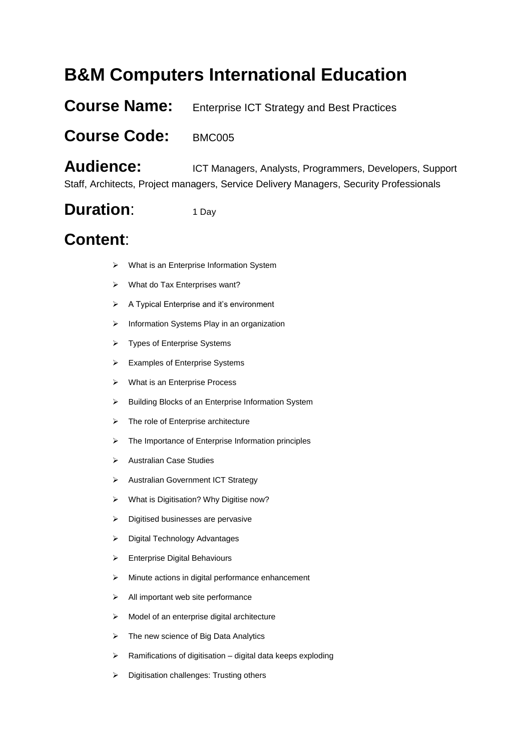# **B&M Computers International Education**

### **Course Name:** Enterprise ICT Strategy and Best Practices

#### **Course Code:** BMC005

Audience: ICT Managers, Analysts, Programmers, Developers, Support Staff, Architects, Project managers, Service Delivery Managers, Security Professionals

## **Duration:** 1 Day

# **Content**:

- What is an Enterprise Information System
- What do Tax Enterprises want?
- A Typical Enterprise and it's environment
- $\triangleright$  Information Systems Play in an organization
- > Types of Enterprise Systems
- > Examples of Enterprise Systems
- > What is an Enterprise Process
- > Building Blocks of an Enterprise Information System
- $\triangleright$  The role of Enterprise architecture
- $\triangleright$  The Importance of Enterprise Information principles
- > Australian Case Studies
- > Australian Government ICT Strategy
- What is Digitisation? Why Digitise now?
- $\triangleright$  Digitised businesses are pervasive
- > Digital Technology Advantages
- Enterprise Digital Behaviours
- $\triangleright$  Minute actions in digital performance enhancement
- $\triangleright$  All important web site performance
- $\triangleright$  Model of an enterprise digital architecture
- $\triangleright$  The new science of Big Data Analytics
- $\triangleright$  Ramifications of digitisation digital data keeps exploding
- $\triangleright$  Digitisation challenges: Trusting others